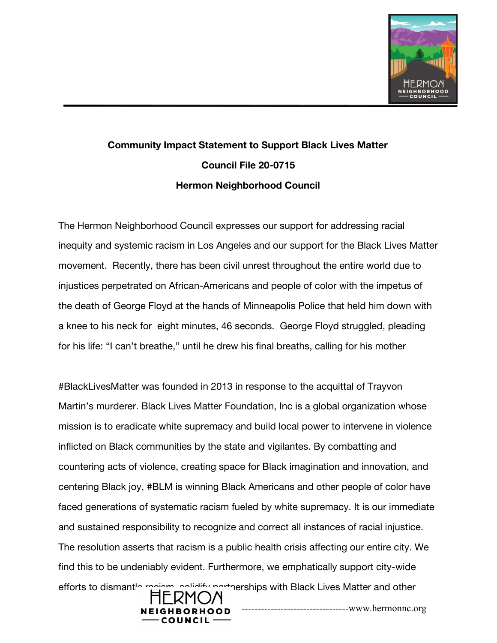

## **Community Impact Statement to Support Black Lives Matter Council File 20-0715 Hermon Neighborhood Council**

The Hermon Neighborhood Council expresses our support for addressing racial inequity and systemic racism in Los Angeles and our support for the Black Lives Matter movement. Recently, there has been civil unrest throughout the entire world due to injustices perpetrated on African-Americans and people of color with the impetus of the death of George Floyd at the hands of Minneapolis Police that held him down with a knee to his neck for eight minutes, 46 seconds. George Floyd struggled, pleading for his life: "I can't breathe," until he drew his final breaths, calling for his mother

#BlackLivesMatter was founded in 2013 in response to the acquittal of Trayvon Martin's murderer. Black Lives Matter Foundation, Inc is a global organization whose mission is to eradicate white supremacy and build local power to intervene in violence inflicted on Black communities by the state and vigilantes. By combatting and countering acts of violence, creating space for Black imagination and innovation, and centering Black joy, #BLM is winning Black Americans and other people of color have faced generations of systematic racism fueled by white supremacy. It is our immediate and sustained responsibility to recognize and correct all instances of racial injustice. The resolution asserts that racism is a public health crisis affecting our entire city. We find this to be undeniably evident. Furthermore, we emphatically support city-wide efforts to dismant<sup>1</sup> recism, solidify partnerships with Black Lives Matter and other



---------------------------------www.hermonnc.org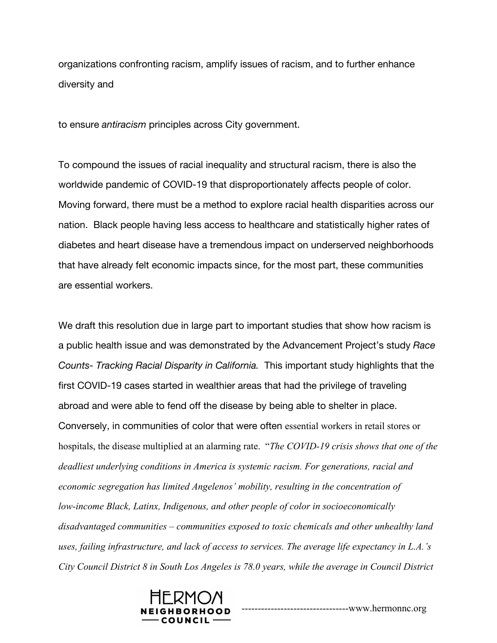organizations confronting racism, amplify issues of racism, and to further enhance diversity and

to ensure *antiracism* principles across City government.

To compound the issues of racial inequality and structural racism, there is also the worldwide pandemic of COVID-19 that disproportionately affects people of color. Moving forward, there must be a method to explore racial health disparities across our nation. Black people having less access to healthcare and statistically higher rates of diabetes and heart disease have a tremendous impact on underserved neighborhoods that have already felt economic impacts since, for the most part, these communities are essential workers.

We draft this resolution due in large part to important studies that show how racism is a public health issue and was demonstrated by the Advancement Project's study *Race Counts- Tracking Racial Disparity in California.* This important study highlights that the first COVID-19 cases started in wealthier areas that had the privilege of traveling abroad and were able to fend off the disease by being able to shelter in place. Conversely, in communities of color that were often essential workers in retail stores or hospitals, the disease multiplied at an alarming rate. "*The COVID-19 crisis shows that one of the deadliest underlying conditions in America is systemic racism. For generations, racial and economic segregation has limited Angelenos' mobility, resulting in the concentration of low-income Black, Latinx, Indigenous, and other people of color in socioeconomically disadvantaged communities – communities exposed to toxic chemicals and other unhealthy land uses, failing infrastructure, and lack of access to services. The average life expectancy in L.A.'s City Council District 8 in South Los Angeles is 78.0 years, while the average in Council District*



---------------------------------www.hermonnc.org